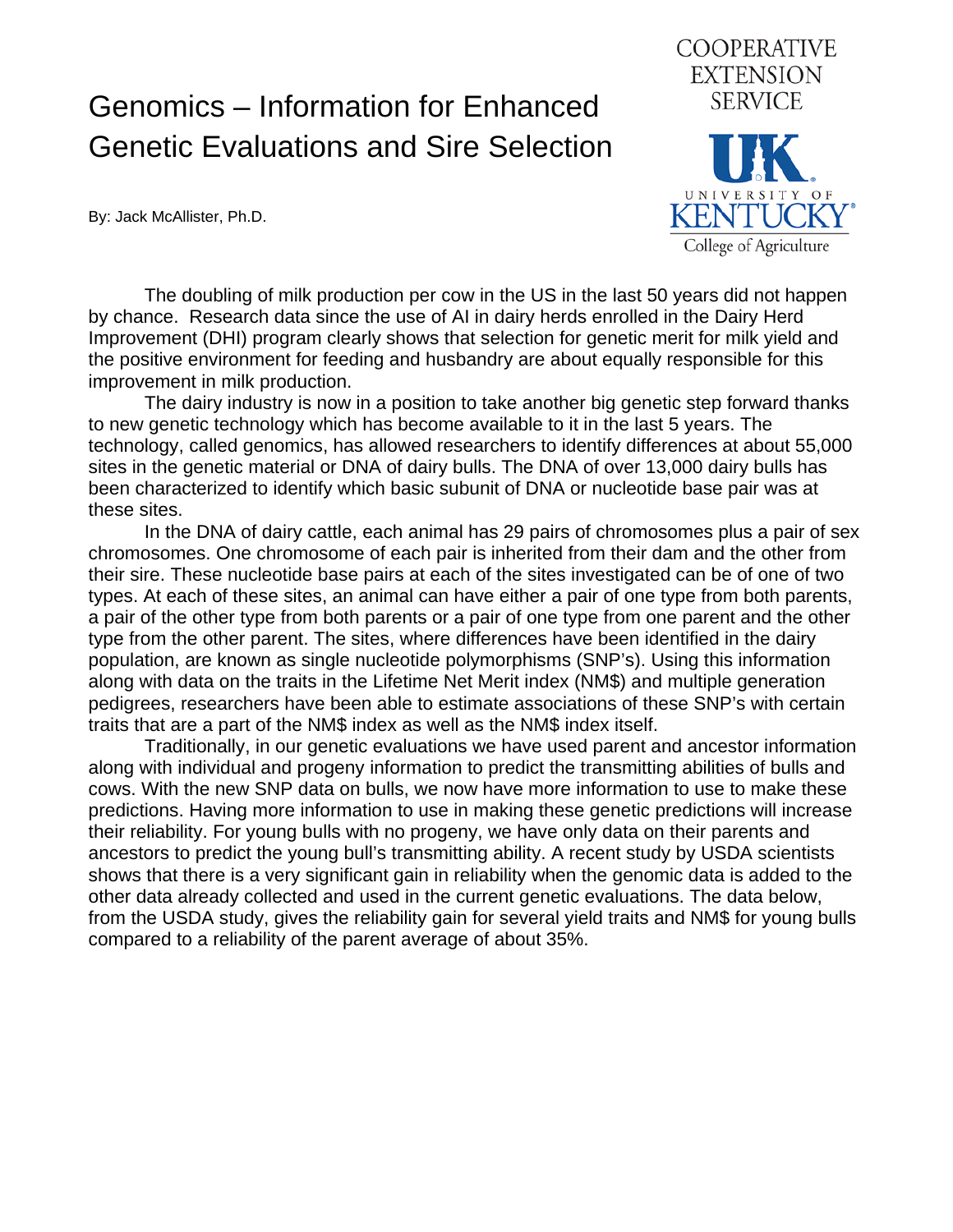## Genomics – Information for Enhanced Genetic Evaluations and Sire Selection

By: Jack McAllister, Ph.D.



 The doubling of milk production per cow in the US in the last 50 years did not happen by chance. Research data since the use of AI in dairy herds enrolled in the Dairy Herd Improvement (DHI) program clearly shows that selection for genetic merit for milk yield and the positive environment for feeding and husbandry are about equally responsible for this improvement in milk production.

 The dairy industry is now in a position to take another big genetic step forward thanks to new genetic technology which has become available to it in the last 5 years. The technology, called genomics, has allowed researchers to identify differences at about 55,000 sites in the genetic material or DNA of dairy bulls. The DNA of over 13,000 dairy bulls has been characterized to identify which basic subunit of DNA or nucleotide base pair was at these sites.

 In the DNA of dairy cattle, each animal has 29 pairs of chromosomes plus a pair of sex chromosomes. One chromosome of each pair is inherited from their dam and the other from their sire. These nucleotide base pairs at each of the sites investigated can be of one of two types. At each of these sites, an animal can have either a pair of one type from both parents, a pair of the other type from both parents or a pair of one type from one parent and the other type from the other parent. The sites, where differences have been identified in the dairy population, are known as single nucleotide polymorphisms (SNP's). Using this information along with data on the traits in the Lifetime Net Merit index (NM\$) and multiple generation pedigrees, researchers have been able to estimate associations of these SNP's with certain traits that are a part of the NM\$ index as well as the NM\$ index itself.

 Traditionally, in our genetic evaluations we have used parent and ancestor information along with individual and progeny information to predict the transmitting abilities of bulls and cows. With the new SNP data on bulls, we now have more information to use to make these predictions. Having more information to use in making these genetic predictions will increase their reliability. For young bulls with no progeny, we have only data on their parents and ancestors to predict the young bull's transmitting ability. A recent study by USDA scientists shows that there is a very significant gain in reliability when the genomic data is added to the other data already collected and used in the current genetic evaluations. The data below, from the USDA study, gives the reliability gain for several yield traits and NM\$ for young bulls compared to a reliability of the parent average of about 35%.